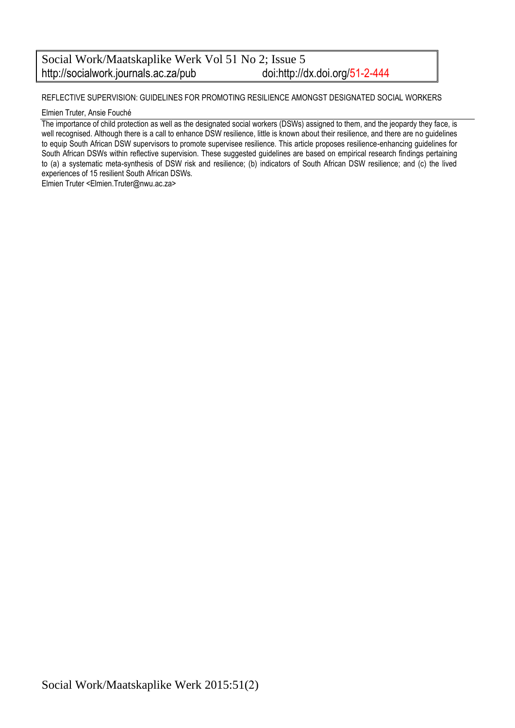#### Social Work/Maatskaplike Werk Vol 51 No 2; Issue 5<br>http://socialwork.journals.ac.za/pub doi:http://dx.doi.org/51-2-444 http://socialwork.journals.ac.za/pub

REFLECTIVE SUPERVISION: GUIDELINES FOR PROMOTING RESILIENCE AMONGST DESIGNATED SOCIAL WORKERS

Elmien Truter, Ansie Fouché

The importance of child protection as well as the designated social workers (DSWs) assigned to them, and the jeopardy they face, is well recognised. Although there is a call to enhance DSW resilience, little is known about their resilience, and there are no guidelines to equip South African DSW supervisors to promote supervisee resilience. This article proposes resilience-enhancing guidelines for South African DSWs within reflective supervision. These suggested guidelines are based on empirical research findings pertaining to (a) a systematic meta-synthesis of DSW risk and resilience; (b) indicators of South African DSW resilience; and (c) the lived experiences of 15 resilient South African DSWs.

Elmien Truter <Elmien.Truter@nwu.ac.za>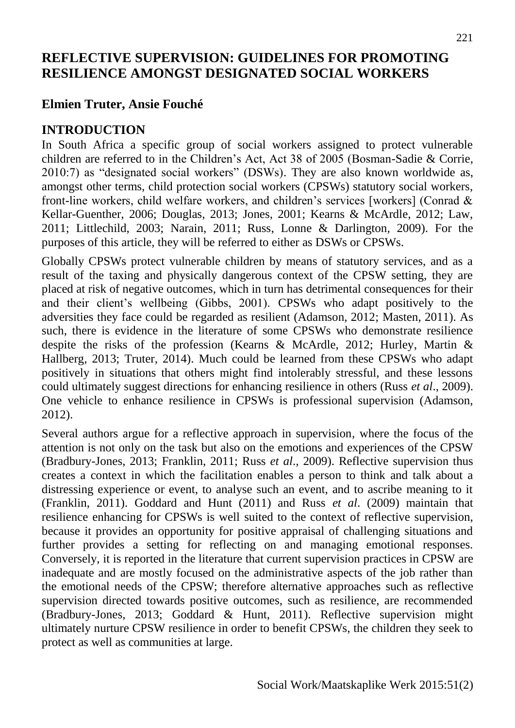## **REFLECTIVE SUPERVISION: GUIDELINES FOR PROMOTING RESILIENCE AMONGST DESIGNATED SOCIAL WORKERS**

## **Elmien Truter, Ansie Fouché**

#### **INTRODUCTION**

In South Africa a specific group of social workers assigned to protect vulnerable children are referred to in the Children's Act, Act 38 of 2005 (Bosman-Sadie & Corrie, 2010:7) as "designated social workers" (DSWs). They are also known worldwide as, amongst other terms, child protection social workers (CPSWs) statutory social workers, front-line workers, child welfare workers, and children's services [workers] (Conrad & Kellar-Guenther, 2006; Douglas, 2013; Jones, 2001; Kearns & McArdle, 2012; Law, 2011; Littlechild, 2003; Narain, 2011; Russ, Lonne & Darlington*,* 2009). For the purposes of this article, they will be referred to either as DSWs or CPSWs.

Globally CPSWs protect vulnerable children by means of statutory services, and as a result of the taxing and physically dangerous context of the CPSW setting, they are placed at risk of negative outcomes, which in turn has detrimental consequences for their and their client's wellbeing (Gibbs, 2001). CPSWs who adapt positively to the adversities they face could be regarded as resilient (Adamson, 2012; Masten, 2011). As such, there is evidence in the literature of some CPSWs who demonstrate resilience despite the risks of the profession (Kearns & McArdle, 2012; Hurley, Martin & Hallberg*,* 2013; Truter, 2014). Much could be learned from these CPSWs who adapt positively in situations that others might find intolerably stressful, and these lessons could ultimately suggest directions for enhancing resilience in others (Russ *et al*., 2009). One vehicle to enhance resilience in CPSWs is professional supervision (Adamson, 2012).

Several authors argue for a reflective approach in supervision, where the focus of the attention is not only on the task but also on the emotions and experiences of the CPSW (Bradbury-Jones, 2013; Franklin, 2011; Russ *et al*.*,* 2009). Reflective supervision thus creates a context in which the facilitation enables a person to think and talk about a distressing experience or event, to analyse such an event, and to ascribe meaning to it (Franklin, 2011). Goddard and Hunt (2011) and Russ *et al*. (2009) maintain that resilience enhancing for CPSWs is well suited to the context of reflective supervision, because it provides an opportunity for positive appraisal of challenging situations and further provides a setting for reflecting on and managing emotional responses. Conversely, it is reported in the literature that current supervision practices in CPSW are inadequate and are mostly focused on the administrative aspects of the job rather than the emotional needs of the CPSW; therefore alternative approaches such as reflective supervision directed towards positive outcomes, such as resilience, are recommended (Bradbury-Jones, 2013; Goddard & Hunt, 2011). Reflective supervision might ultimately nurture CPSW resilience in order to benefit CPSWs, the children they seek to protect as well as communities at large.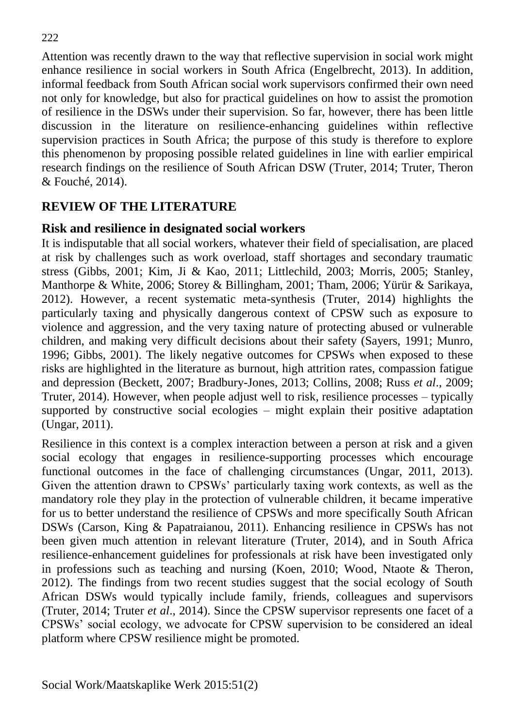Attention was recently drawn to the way that reflective supervision in social work might enhance resilience in social workers in South Africa (Engelbrecht, 2013). In addition, informal feedback from South African social work supervisors confirmed their own need not only for knowledge, but also for practical guidelines on how to assist the promotion of resilience in the DSWs under their supervision. So far, however, there has been little discussion in the literature on resilience-enhancing guidelines within reflective supervision practices in South Africa; the purpose of this study is therefore to explore this phenomenon by proposing possible related guidelines in line with earlier empirical research findings on the resilience of South African DSW (Truter, 2014; Truter, Theron & Fouché, 2014).

### **REVIEW OF THE LITERATURE**

#### **Risk and resilience in designated social workers**

It is indisputable that all social workers, whatever their field of specialisation, are placed at risk by challenges such as work overload, staff shortages and secondary traumatic stress (Gibbs, 2001; Kim, Ji & Kao, 2011; Littlechild, 2003; Morris, 2005; Stanley, Manthorpe & White*,* 2006; Storey & Billingham, 2001; Tham, 2006; Yürür & Sarikaya, 2012). However, a recent systematic meta-synthesis (Truter, 2014) highlights the particularly taxing and physically dangerous context of CPSW such as exposure to violence and aggression, and the very taxing nature of protecting abused or vulnerable children, and making very difficult decisions about their safety (Sayers, 1991; Munro, 1996; Gibbs, 2001). The likely negative outcomes for CPSWs when exposed to these risks are highlighted in the literature as burnout, high attrition rates, compassion fatigue and depression (Beckett, 2007; Bradbury-Jones, 2013; Collins, 2008; Russ *et al*.*,* 2009; Truter, 2014). However, when people adjust well to risk, resilience processes – typically supported by constructive social ecologies – might explain their positive adaptation (Ungar, 2011).

Resilience in this context is a complex interaction between a person at risk and a given social ecology that engages in resilience-supporting processes which encourage functional outcomes in the face of challenging circumstances (Ungar, 2011, 2013). Given the attention drawn to CPSWs' particularly taxing work contexts, as well as the mandatory role they play in the protection of vulnerable children, it became imperative for us to better understand the resilience of CPSWs and more specifically South African DSWs (Carson, King & Papatraianou*,* 2011). Enhancing resilience in CPSWs has not been given much attention in relevant literature (Truter, 2014), and in South Africa resilience-enhancement guidelines for professionals at risk have been investigated only in professions such as teaching and nursing (Koen, 2010; Wood, Ntaote & Theron*,* 2012). The findings from two recent studies suggest that the social ecology of South African DSWs would typically include family, friends, colleagues and supervisors (Truter, 2014; Truter *et al*., 2014). Since the CPSW supervisor represents one facet of a CPSWs' social ecology, we advocate for CPSW supervision to be considered an ideal platform where CPSW resilience might be promoted.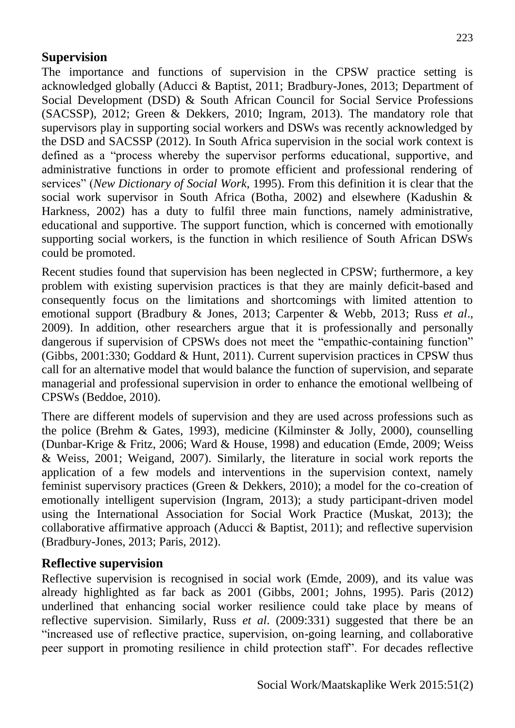#### **Supervision**

The importance and functions of supervision in the CPSW practice setting is acknowledged globally (Aducci & Baptist, 2011; Bradbury-Jones, 2013; Department of Social Development (DSD) & South African Council for Social Service Professions (SACSSP), 2012; Green & Dekkers, 2010; Ingram, 2013). The mandatory role that supervisors play in supporting social workers and DSWs was recently acknowledged by the DSD and SACSSP (2012). In South Africa supervision in the social work context is defined as a "process whereby the supervisor performs educational, supportive, and administrative functions in order to promote efficient and professional rendering of services" (*New Dictionary of Social Work*, 1995). From this definition it is clear that the social work supervisor in South Africa (Botha, 2002) and elsewhere (Kadushin & Harkness, 2002) has a duty to fulfil three main functions, namely administrative, educational and supportive. The support function, which is concerned with emotionally supporting social workers, is the function in which resilience of South African DSWs could be promoted.

Recent studies found that supervision has been neglected in CPSW; furthermore, a key problem with existing supervision practices is that they are mainly deficit-based and consequently focus on the limitations and shortcomings with limited attention to emotional support (Bradbury & Jones, 2013; Carpenter & Webb, 2013; Russ *et al*.*,* 2009). In addition, other researchers argue that it is professionally and personally dangerous if supervision of CPSWs does not meet the "empathic-containing function" (Gibbs, 2001:330; Goddard & Hunt, 2011). Current supervision practices in CPSW thus call for an alternative model that would balance the function of supervision, and separate managerial and professional supervision in order to enhance the emotional wellbeing of CPSWs (Beddoe, 2010).

There are different models of supervision and they are used across professions such as the police (Brehm & Gates, 1993), medicine (Kilminster & Jolly, 2000), counselling (Dunbar-Krige & Fritz, 2006; Ward & House, 1998) and education (Emde, 2009; Weiss & Weiss, 2001; Weigand, 2007). Similarly, the literature in social work reports the application of a few models and interventions in the supervision context, namely feminist supervisory practices (Green & Dekkers, 2010); a model for the co-creation of emotionally intelligent supervision (Ingram, 2013); a study participant-driven model using the International Association for Social Work Practice (Muskat, 2013); the collaborative affirmative approach (Aducci & Baptist, 2011); and reflective supervision (Bradbury-Jones, 2013; Paris, 2012).

#### **Reflective supervision**

Reflective supervision is recognised in social work (Emde, 2009), and its value was already highlighted as far back as 2001 (Gibbs, 2001; Johns, 1995). Paris (2012) underlined that enhancing social worker resilience could take place by means of reflective supervision. Similarly, Russ *et al*. (2009:331) suggested that there be an "increased use of reflective practice, supervision, on-going learning, and collaborative peer support in promoting resilience in child protection staff". For decades reflective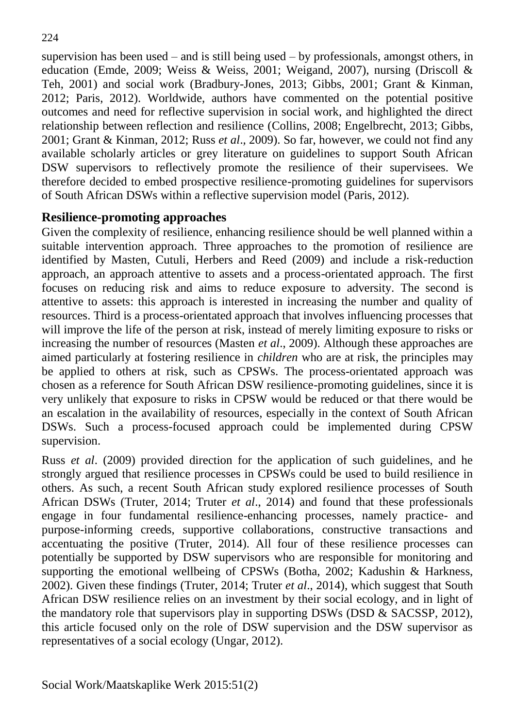supervision has been used – and is still being used – by professionals, amongst others, in education (Emde, 2009; Weiss & Weiss, 2001; Weigand, 2007), nursing (Driscoll & Teh, 2001) and social work (Bradbury-Jones, 2013; Gibbs, 2001; Grant & Kinman, 2012; Paris, 2012). Worldwide, authors have commented on the potential positive outcomes and need for reflective supervision in social work, and highlighted the direct relationship between reflection and resilience (Collins, 2008; Engelbrecht, 2013; Gibbs, 2001; Grant & Kinman, 2012; Russ *et al*.*,* 2009). So far, however, we could not find any available scholarly articles or grey literature on guidelines to support South African DSW supervisors to reflectively promote the resilience of their supervisees. We therefore decided to embed prospective resilience-promoting guidelines for supervisors of South African DSWs within a reflective supervision model (Paris, 2012).

#### **Resilience-promoting approaches**

Given the complexity of resilience, enhancing resilience should be well planned within a suitable intervention approach. Three approaches to the promotion of resilience are identified by Masten, Cutuli, Herbers and Reed (2009) and include a risk-reduction approach, an approach attentive to assets and a process-orientated approach. The first focuses on reducing risk and aims to reduce exposure to adversity. The second is attentive to assets: this approach is interested in increasing the number and quality of resources. Third is a process-orientated approach that involves influencing processes that will improve the life of the person at risk, instead of merely limiting exposure to risks or increasing the number of resources (Masten *et al*., 2009). Although these approaches are aimed particularly at fostering resilience in *children* who are at risk, the principles may be applied to others at risk, such as CPSWs. The process-orientated approach was chosen as a reference for South African DSW resilience-promoting guidelines, since it is very unlikely that exposure to risks in CPSW would be reduced or that there would be an escalation in the availability of resources, especially in the context of South African DSWs. Such a process-focused approach could be implemented during CPSW supervision.

Russ *et al*. (2009) provided direction for the application of such guidelines, and he strongly argued that resilience processes in CPSWs could be used to build resilience in others. As such, a recent South African study explored resilience processes of South African DSWs (Truter, 2014; Truter *et al*., 2014) and found that these professionals engage in four fundamental resilience-enhancing processes, namely practice- and purpose-informing creeds, supportive collaborations, constructive transactions and accentuating the positive (Truter, 2014). All four of these resilience processes can potentially be supported by DSW supervisors who are responsible for monitoring and supporting the emotional wellbeing of CPSWs (Botha, 2002; Kadushin & Harkness, 2002). Given these findings (Truter, 2014; Truter *et al*., 2014), which suggest that South African DSW resilience relies on an investment by their social ecology, and in light of the mandatory role that supervisors play in supporting DSWs (DSD & SACSSP, 2012), this article focused only on the role of DSW supervision and the DSW supervisor as representatives of a social ecology (Ungar, 2012).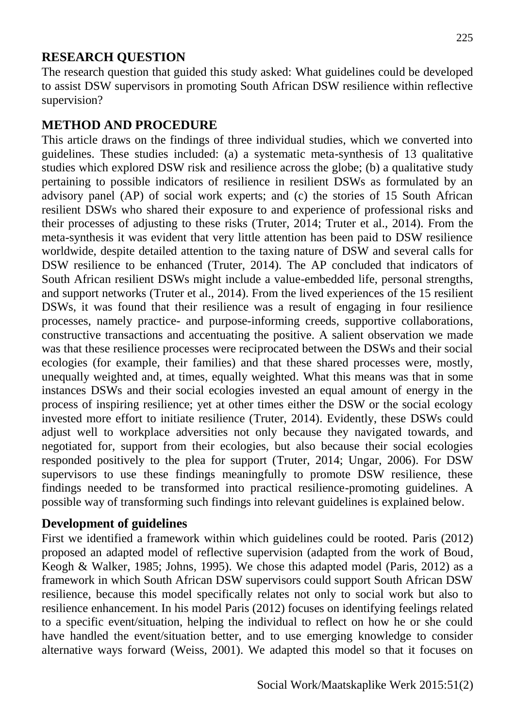### **RESEARCH QUESTION**

The research question that guided this study asked: What guidelines could be developed to assist DSW supervisors in promoting South African DSW resilience within reflective supervision?

## **METHOD AND PROCEDURE**

This article draws on the findings of three individual studies, which we converted into guidelines. These studies included: (a) a systematic meta-synthesis of 13 qualitative studies which explored DSW risk and resilience across the globe; (b) a qualitative study pertaining to possible indicators of resilience in resilient DSWs as formulated by an advisory panel (AP) of social work experts; and (c) the stories of 15 South African resilient DSWs who shared their exposure to and experience of professional risks and their processes of adjusting to these risks (Truter, 2014; Truter et al., 2014). From the meta-synthesis it was evident that very little attention has been paid to DSW resilience worldwide, despite detailed attention to the taxing nature of DSW and several calls for DSW resilience to be enhanced (Truter, 2014). The AP concluded that indicators of South African resilient DSWs might include a value-embedded life, personal strengths, and support networks (Truter et al., 2014). From the lived experiences of the 15 resilient DSWs, it was found that their resilience was a result of engaging in four resilience processes, namely practice- and purpose-informing creeds, supportive collaborations, constructive transactions and accentuating the positive. A salient observation we made was that these resilience processes were reciprocated between the DSWs and their social ecologies (for example, their families) and that these shared processes were, mostly, unequally weighted and, at times, equally weighted. What this means was that in some instances DSWs and their social ecologies invested an equal amount of energy in the process of inspiring resilience; yet at other times either the DSW or the social ecology invested more effort to initiate resilience (Truter, 2014). Evidently, these DSWs could adjust well to workplace adversities not only because they navigated towards, and negotiated for, support from their ecologies, but also because their social ecologies responded positively to the plea for support (Truter, 2014; Ungar, 2006). For DSW supervisors to use these findings meaningfully to promote DSW resilience, these findings needed to be transformed into practical resilience-promoting guidelines. A possible way of transforming such findings into relevant guidelines is explained below.

### **Development of guidelines**

First we identified a framework within which guidelines could be rooted. Paris (2012) proposed an adapted model of reflective supervision (adapted from the work of Boud, Keogh & Walker, 1985; Johns, 1995). We chose this adapted model (Paris, 2012) as a framework in which South African DSW supervisors could support South African DSW resilience, because this model specifically relates not only to social work but also to resilience enhancement. In his model Paris (2012) focuses on identifying feelings related to a specific event/situation, helping the individual to reflect on how he or she could have handled the event/situation better, and to use emerging knowledge to consider alternative ways forward (Weiss, 2001). We adapted this model so that it focuses on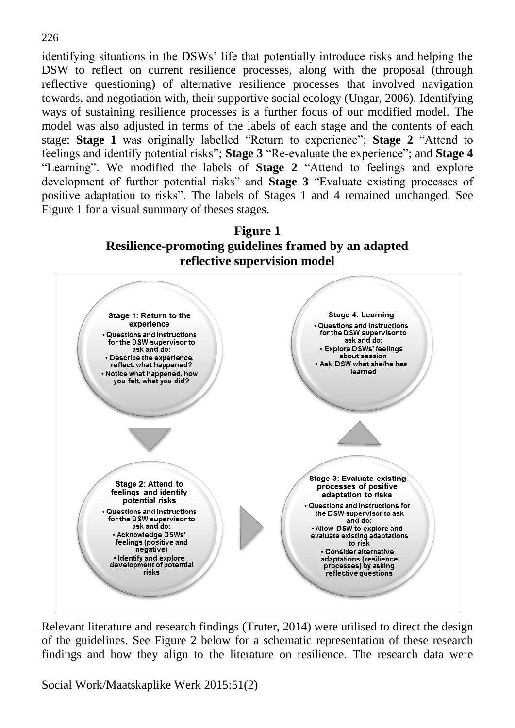identifying situations in the DSWs' life that potentially introduce risks and helping the DSW to reflect on current resilience processes, along with the proposal (through reflective questioning) of alternative resilience processes that involved navigation towards, and negotiation with, their supportive social ecology (Ungar, 2006). Identifying ways of sustaining resilience processes is a further focus of our modified model. The model was also adjusted in terms of the labels of each stage and the contents of each stage: **Stage 1** was originally labelled "Return to experience"; **Stage 2** "Attend to feelings and identify potential risks"; **Stage 3** "Re-evaluate the experience"; and **Stage 4** "Learning". We modified the labels of **Stage 2** "Attend to feelings and explore development of further potential risks" and **Stage 3** "Evaluate existing processes of positive adaptation to risks". The labels of Stages 1 and 4 remained unchanged. See Figure 1 for a visual summary of theses stages.





Relevant literature and research findings (Truter, 2014) were utilised to direct the design of the guidelines. See Figure 2 below for a schematic representation of these research findings and how they align to the literature on resilience. The research data were

Social Work/Maatskaplike Werk 2015:51(2)

#### 226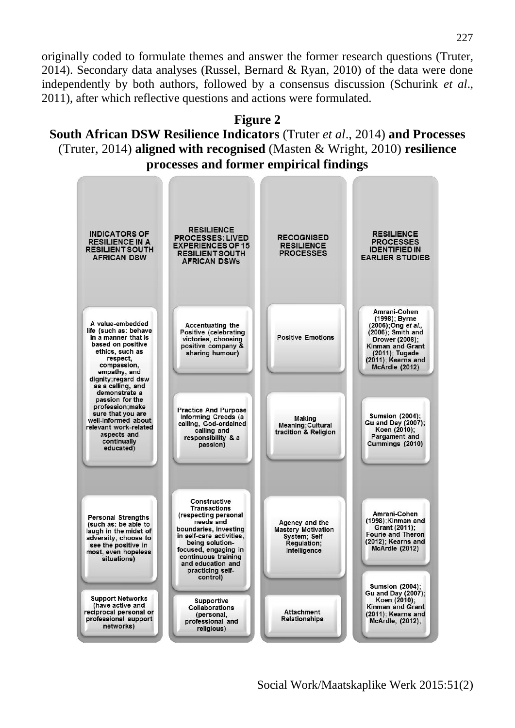originally coded to formulate themes and answer the former research questions (Truter*,* 2014). Secondary data analyses (Russel, Bernard & Ryan*,* 2010) of the data were done independently by both authors, followed by a consensus discussion (Schurink *et al*., 2011), after which reflective questions and actions were formulated.

#### **Figure 2 South African DSW Resilience Indicators** (Truter *et al*., 2014) **and Processes**  (Truter, 2014) **aligned with recognised** (Masten & Wright, 2010) **resilience processes and former empirical findings**



Social Work/Maatskaplike Werk 2015:51(2)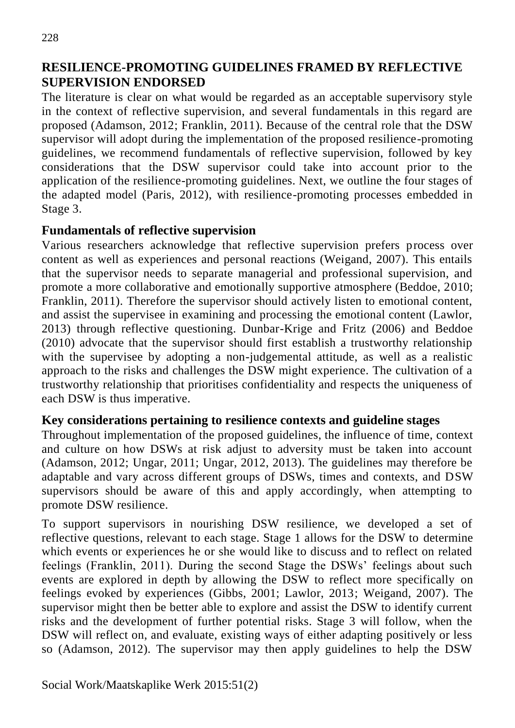#### **RESILIENCE-PROMOTING GUIDELINES FRAMED BY REFLECTIVE SUPERVISION ENDORSED**

The literature is clear on what would be regarded as an acceptable supervisory style in the context of reflective supervision, and several fundamentals in this regard are proposed (Adamson, 2012; Franklin, 2011). Because of the central role that the DSW supervisor will adopt during the implementation of the proposed resilience-promoting guidelines, we recommend fundamentals of reflective supervision, followed by key considerations that the DSW supervisor could take into account prior to the application of the resilience-promoting guidelines. Next, we outline the four stages of the adapted model (Paris, 2012), with resilience-promoting processes embedded in Stage 3.

#### **Fundamentals of reflective supervision**

Various researchers acknowledge that reflective supervision prefers process over content as well as experiences and personal reactions (Weigand, 2007). This entails that the supervisor needs to separate managerial and professional supervision, and promote a more collaborative and emotionally supportive atmosphere (Beddoe, 2010; Franklin, 2011). Therefore the supervisor should actively listen to emotional content, and assist the supervisee in examining and processing the emotional content (Lawlor, 2013) through reflective questioning. Dunbar-Krige and Fritz (2006) and Beddoe (2010) advocate that the supervisor should first establish a trustworthy relationship with the supervisee by adopting a non-judgemental attitude, as well as a realistic approach to the risks and challenges the DSW might experience. The cultivation of a trustworthy relationship that prioritises confidentiality and respects the uniqueness of each DSW is thus imperative.

#### **Key considerations pertaining to resilience contexts and guideline stages**

Throughout implementation of the proposed guidelines, the influence of time, context and culture on how DSWs at risk adjust to adversity must be taken into account (Adamson, 2012; Ungar, 2011; Ungar, 2012, 2013). The guidelines may therefore be adaptable and vary across different groups of DSWs, times and contexts, and DSW supervisors should be aware of this and apply accordingly, when attempting to promote DSW resilience.

To support supervisors in nourishing DSW resilience, we developed a set of reflective questions, relevant to each stage. Stage 1 allows for the DSW to determine which events or experiences he or she would like to discuss and to reflect on related feelings (Franklin, 2011). During the second Stage the DSWs' feelings about such events are explored in depth by allowing the DSW to reflect more specifically on feelings evoked by experiences (Gibbs, 2001; Lawlor, 2013; Weigand, 2007). The supervisor might then be better able to explore and assist the DSW to identify current risks and the development of further potential risks. Stage 3 will follow, when the DSW will reflect on, and evaluate, existing ways of either adapting positively or less so (Adamson, 2012). The supervisor may then apply guidelines to help the DSW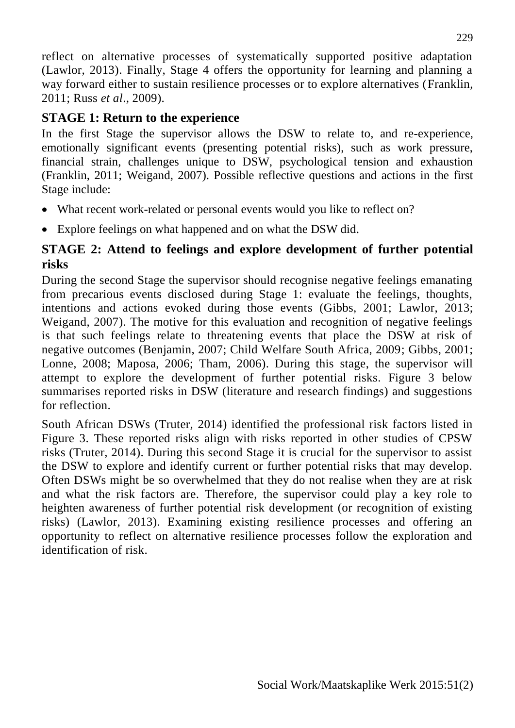reflect on alternative processes of systematically supported positive adaptation (Lawlor, 2013). Finally, Stage 4 offers the opportunity for learning and planning a way forward either to sustain resilience processes or to explore alternatives (Franklin, 2011; Russ *et al*., 2009).

## **STAGE 1: Return to the experience**

In the first Stage the supervisor allows the DSW to relate to, and re-experience, emotionally significant events (presenting potential risks), such as work pressure, financial strain, challenges unique to DSW, psychological tension and exhaustion (Franklin, 2011; Weigand, 2007). Possible reflective questions and actions in the first Stage include:

- What recent work-related or personal events would you like to reflect on?
- Explore feelings on what happened and on what the DSW did.

## **STAGE 2: Attend to feelings and explore development of further potential risks**

During the second Stage the supervisor should recognise negative feelings emanating from precarious events disclosed during Stage 1: evaluate the feelings, thoughts, intentions and actions evoked during those events (Gibbs, 2001; Lawlor, 2013; Weigand, 2007). The motive for this evaluation and recognition of negative feelings is that such feelings relate to threatening events that place the DSW at risk of negative outcomes (Benjamin, 2007; Child Welfare South Africa, 2009; Gibbs, 2001; Lonne, 2008; Maposa, 2006; Tham, 2006). During this stage, the supervisor will attempt to explore the development of further potential risks. Figure 3 below summarises reported risks in DSW (literature and research findings) and suggestions for reflection.

South African DSWs (Truter, 2014) identified the professional risk factors listed in Figure 3. These reported risks align with risks reported in other studies of CPSW risks (Truter, 2014). During this second Stage it is crucial for the supervisor to assist the DSW to explore and identify current or further potential risks that may develop. Often DSWs might be so overwhelmed that they do not realise when they are at risk and what the risk factors are. Therefore, the supervisor could play a key role to heighten awareness of further potential risk development (or recognition of existing risks) (Lawlor, 2013). Examining existing resilience processes and offering an opportunity to reflect on alternative resilience processes follow the exploration and identification of risk.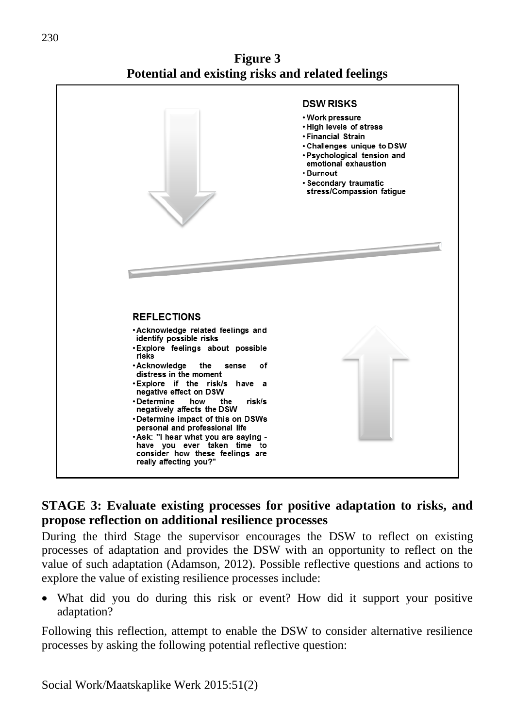

**Figure 3 Potential and existing risks and related feelings**

#### **STAGE 3: Evaluate existing processes for positive adaptation to risks, and propose reflection on additional resilience processes**

During the third Stage the supervisor encourages the DSW to reflect on existing processes of adaptation and provides the DSW with an opportunity to reflect on the value of such adaptation (Adamson, 2012). Possible reflective questions and actions to explore the value of existing resilience processes include:

 What did you do during this risk or event? How did it support your positive adaptation?

Following this reflection, attempt to enable the DSW to consider alternative resilience processes by asking the following potential reflective question: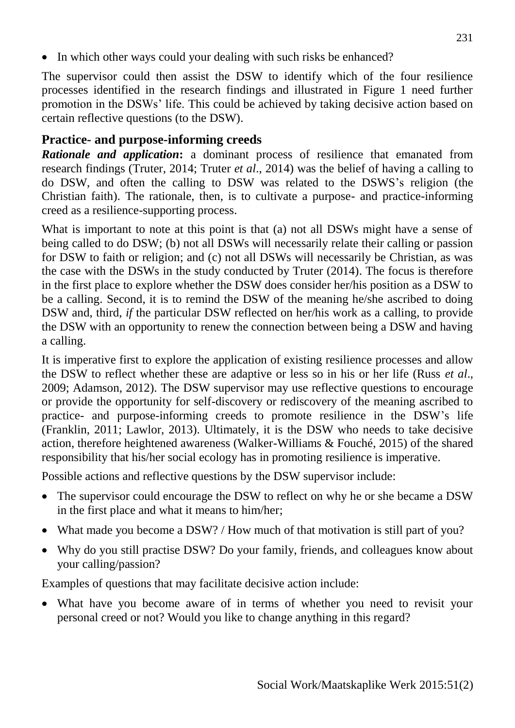• In which other ways could your dealing with such risks be enhanced?

The supervisor could then assist the DSW to identify which of the four resilience processes identified in the research findings and illustrated in Figure 1 need further promotion in the DSWs' life. This could be achieved by taking decisive action based on certain reflective questions (to the DSW).

## **Practice- and purpose-informing creeds**

*Rationale and application***:** a dominant process of resilience that emanated from research findings (Truter, 2014; Truter *et al*., 2014) was the belief of having a calling to do DSW, and often the calling to DSW was related to the DSWS's religion (the Christian faith). The rationale, then, is to cultivate a purpose- and practice-informing creed as a resilience-supporting process.

What is important to note at this point is that (a) not all DSWs might have a sense of being called to do DSW; (b) not all DSWs will necessarily relate their calling or passion for DSW to faith or religion; and (c) not all DSWs will necessarily be Christian, as was the case with the DSWs in the study conducted by Truter (2014). The focus is therefore in the first place to explore whether the DSW does consider her/his position as a DSW to be a calling. Second, it is to remind the DSW of the meaning he/she ascribed to doing DSW and, third, *if* the particular DSW reflected on her/his work as a calling, to provide the DSW with an opportunity to renew the connection between being a DSW and having a calling.

It is imperative first to explore the application of existing resilience processes and allow the DSW to reflect whether these are adaptive or less so in his or her life (Russ *et al*.*,* 2009; Adamson, 2012). The DSW supervisor may use reflective questions to encourage or provide the opportunity for self-discovery or rediscovery of the meaning ascribed to practice- and purpose-informing creeds to promote resilience in the DSW's life (Franklin, 2011; Lawlor, 2013). Ultimately, it is the DSW who needs to take decisive action, therefore heightened awareness (Walker-Williams & Fouché, 2015) of the shared responsibility that his/her social ecology has in promoting resilience is imperative.

Possible actions and reflective questions by the DSW supervisor include:

- The supervisor could encourage the DSW to reflect on why he or she became a DSW in the first place and what it means to him/her;
- What made you become a DSW? / How much of that motivation is still part of you?
- Why do you still practise DSW? Do your family, friends, and colleagues know about your calling/passion?

Examples of questions that may facilitate decisive action include:

 What have you become aware of in terms of whether you need to revisit your personal creed or not? Would you like to change anything in this regard?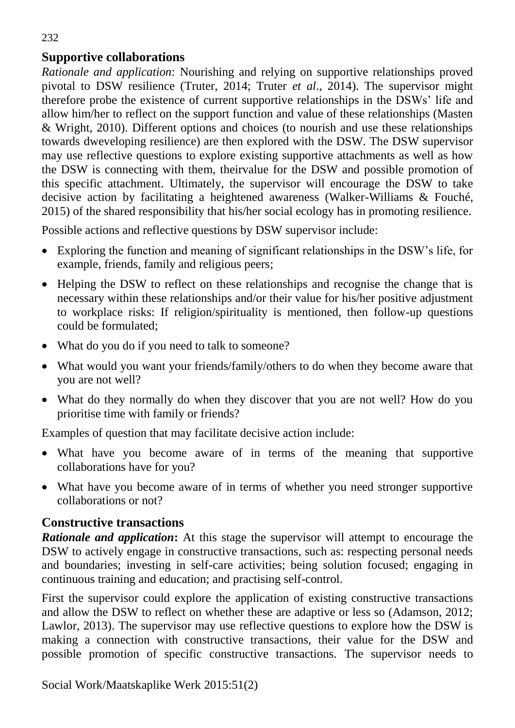### **Supportive collaborations**

*Rationale and application*: Nourishing and relying on supportive relationships proved pivotal to DSW resilience (Truter, 2014; Truter *et al*., 2014). The supervisor might therefore probe the existence of current supportive relationships in the DSWs' life and allow him/her to reflect on the support function and value of these relationships (Masten & Wright, 2010). Different options and choices (to nourish and use these relationships towards dweveloping resilience) are then explored with the DSW. The DSW supervisor may use reflective questions to explore existing supportive attachments as well as how the DSW is connecting with them, theirvalue for the DSW and possible promotion of this specific attachment. Ultimately, the supervisor will encourage the DSW to take decisive action by facilitating a heightened awareness (Walker-Williams & Fouché, 2015) of the shared responsibility that his/her social ecology has in promoting resilience.

Possible actions and reflective questions by DSW supervisor include:

- Exploring the function and meaning of significant relationships in the DSW's life, for example, friends, family and religious peers;
- Helping the DSW to reflect on these relationships and recognise the change that is necessary within these relationships and/or their value for his/her positive adjustment to workplace risks: If religion/spirituality is mentioned, then follow-up questions could be formulated;
- What do you do if you need to talk to some one?
- What would you want your friends/family/others to do when they become aware that you are not well?
- What do they normally do when they discover that you are not well? How do you prioritise time with family or friends?

Examples of question that may facilitate decisive action include:

- What have you become aware of in terms of the meaning that supportive collaborations have for you?
- What have you become aware of in terms of whether you need stronger supportive collaborations or not?

### **Constructive transactions**

*Rationale and application***:** At this stage the supervisor will attempt to encourage the DSW to actively engage in constructive transactions, such as: respecting personal needs and boundaries; investing in self-care activities; being solution focused; engaging in continuous training and education; and practising self-control.

First the supervisor could explore the application of existing constructive transactions and allow the DSW to reflect on whether these are adaptive or less so (Adamson, 2012; Lawlor, 2013). The supervisor may use reflective questions to explore how the DSW is making a connection with constructive transactions, their value for the DSW and possible promotion of specific constructive transactions. The supervisor needs to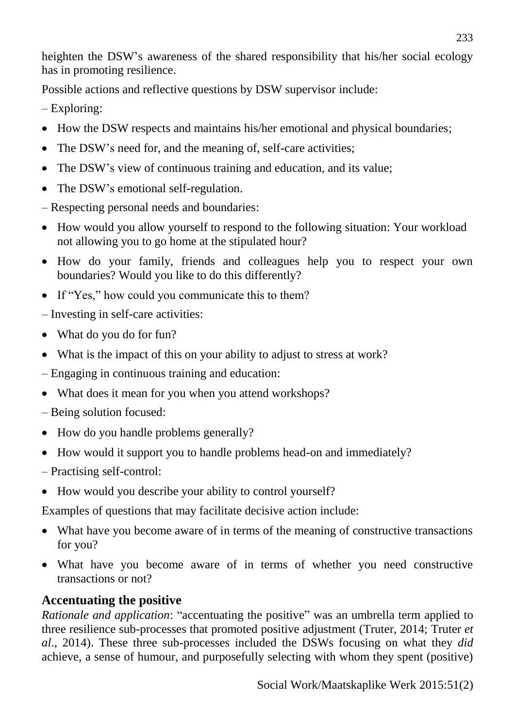heighten the DSW's awareness of the shared responsibility that his/her social ecology has in promoting resilience.

Possible actions and reflective questions by DSW supervisor include:

- Exploring:
- How the DSW respects and maintains his/her emotional and physical boundaries;
- The DSW's need for, and the meaning of, self-care activities;
- The DSW's view of continuous training and education, and its value;
- The DSW's emotional self-regulation.
- Respecting personal needs and boundaries:
- How would you allow yourself to respond to the following situation: Your workload not allowing you to go home at the stipulated hour?
- How do your family, friends and colleagues help you to respect your own boundaries? Would you like to do this differently?
- If "Yes," how could you communicate this to them?
- Investing in self-care activities:
- What do you do for fun?
- What is the impact of this on your ability to adjust to stress at work?
- Engaging in continuous training and education:
- What does it mean for you when you attend workshops?
- Being solution focused:
- How do you handle problems generally?
- How would it support you to handle problems head-on and immediately?
- Practising self-control:
- How would you describe your ability to control yourself?

Examples of questions that may facilitate decisive action include:

- What have you become aware of in terms of the meaning of constructive transactions for you?
- What have you become aware of in terms of whether you need constructive transactions or not?

# **Accentuating the positive**

*Rationale and application*: "accentuating the positive" was an umbrella term applied to three resilience sub-processes that promoted positive adjustment (Truter, 2014; Truter *et al*., 2014). These three sub-processes included the DSWs focusing on what they *did* achieve, a sense of humour, and purposefully selecting with whom they spent (positive)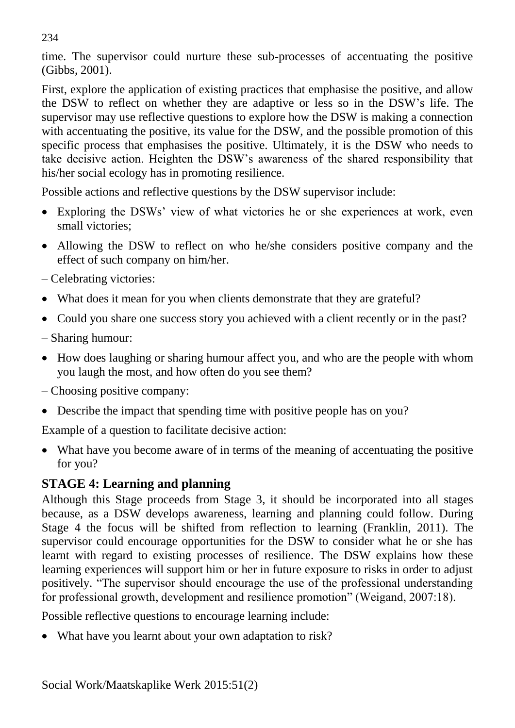time. The supervisor could nurture these sub-processes of accentuating the positive (Gibbs, 2001).

First, explore the application of existing practices that emphasise the positive, and allow the DSW to reflect on whether they are adaptive or less so in the DSW's life. The supervisor may use reflective questions to explore how the DSW is making a connection with accentuating the positive, its value for the DSW, and the possible promotion of this specific process that emphasises the positive. Ultimately, it is the DSW who needs to take decisive action. Heighten the DSW's awareness of the shared responsibility that his/her social ecology has in promoting resilience.

Possible actions and reflective questions by the DSW supervisor include:

- Exploring the DSWs' view of what victories he or she experiences at work, even small victories;
- Allowing the DSW to reflect on who he/she considers positive company and the effect of such company on him/her.
- Celebrating victories:
- What does it mean for you when clients demonstrate that they are grateful?
- Could you share one success story you achieved with a client recently or in the past?
- Sharing humour:
- How does laughing or sharing humour affect you, and who are the people with whom you laugh the most, and how often do you see them?
- Choosing positive company:
- Describe the impact that spending time with positive people has on you?

Example of a question to facilitate decisive action:

 What have you become aware of in terms of the meaning of accentuating the positive for you?

# **STAGE 4: Learning and planning**

Although this Stage proceeds from Stage 3, it should be incorporated into all stages because, as a DSW develops awareness, learning and planning could follow. During Stage 4 the focus will be shifted from reflection to learning (Franklin, 2011). The supervisor could encourage opportunities for the DSW to consider what he or she has learnt with regard to existing processes of resilience. The DSW explains how these learning experiences will support him or her in future exposure to risks in order to adjust positively. "The supervisor should encourage the use of the professional understanding for professional growth, development and resilience promotion" (Weigand, 2007:18).

Possible reflective questions to encourage learning include:

• What have you learnt about your own adaptation to risk?

234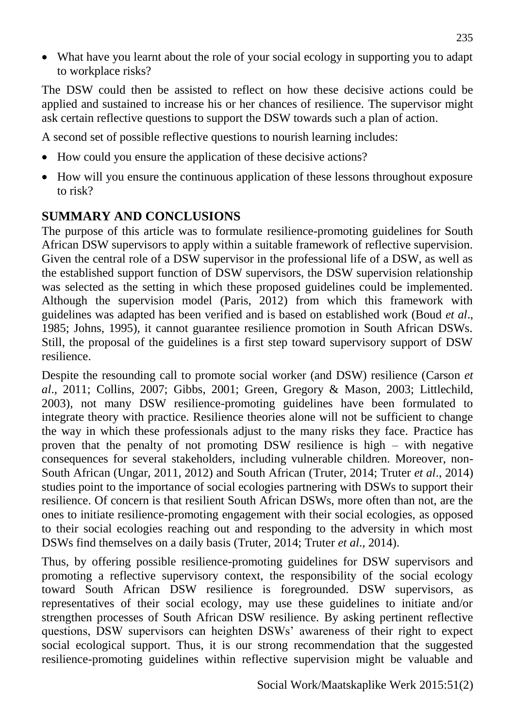What have you learnt about the role of your social ecology in supporting you to adapt to workplace risks?

The DSW could then be assisted to reflect on how these decisive actions could be applied and sustained to increase his or her chances of resilience. The supervisor might ask certain reflective questions to support the DSW towards such a plan of action.

A second set of possible reflective questions to nourish learning includes:

- How could you ensure the application of these decisive actions?
- How will you ensure the continuous application of these lessons throughout exposure to risk?

## **SUMMARY AND CONCLUSIONS**

The purpose of this article was to formulate resilience-promoting guidelines for South African DSW supervisors to apply within a suitable framework of reflective supervision. Given the central role of a DSW supervisor in the professional life of a DSW, as well as the established support function of DSW supervisors, the DSW supervision relationship was selected as the setting in which these proposed guidelines could be implemented. Although the supervision model (Paris, 2012) from which this framework with guidelines was adapted has been verified and is based on established work (Boud *et al*., 1985; Johns, 1995), it cannot guarantee resilience promotion in South African DSWs. Still, the proposal of the guidelines is a first step toward supervisory support of DSW resilience.

Despite the resounding call to promote social worker (and DSW) resilience (Carson *et al*., 2011; Collins, 2007; Gibbs, 2001; Green, Gregory & Mason, 2003; Littlechild, 2003), not many DSW resilience-promoting guidelines have been formulated to integrate theory with practice. Resilience theories alone will not be sufficient to change the way in which these professionals adjust to the many risks they face. Practice has proven that the penalty of not promoting DSW resilience is high – with negative consequences for several stakeholders, including vulnerable children. Moreover, non-South African (Ungar, 2011, 2012) and South African (Truter, 2014; Truter *et al*., 2014) studies point to the importance of social ecologies partnering with DSWs to support their resilience. Of concern is that resilient South African DSWs, more often than not, are the ones to initiate resilience-promoting engagement with their social ecologies, as opposed to their social ecologies reaching out and responding to the adversity in which most DSWs find themselves on a daily basis (Truter, 2014; Truter *et al*., 2014).

Thus, by offering possible resilience-promoting guidelines for DSW supervisors and promoting a reflective supervisory context, the responsibility of the social ecology toward South African DSW resilience is foregrounded. DSW supervisors, as representatives of their social ecology, may use these guidelines to initiate and/or strengthen processes of South African DSW resilience. By asking pertinent reflective questions, DSW supervisors can heighten DSWs' awareness of their right to expect social ecological support. Thus, it is our strong recommendation that the suggested resilience-promoting guidelines within reflective supervision might be valuable and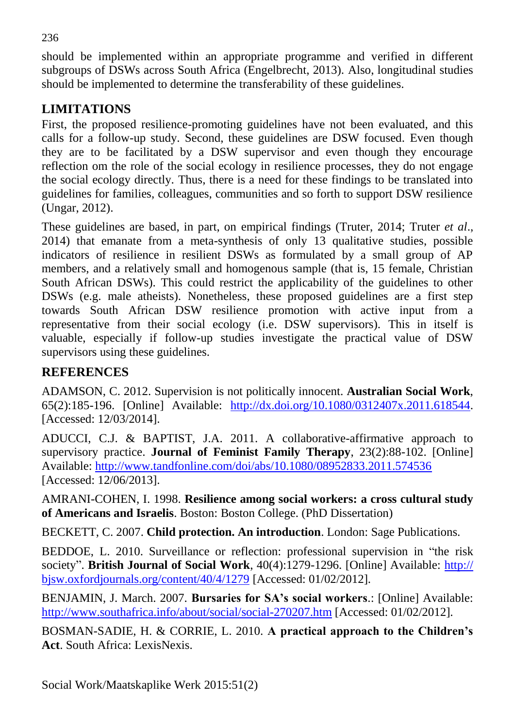should be implemented within an appropriate programme and verified in different subgroups of DSWs across South Africa (Engelbrecht, 2013). Also, longitudinal studies should be implemented to determine the transferability of these guidelines.

## **LIMITATIONS**

First, the proposed resilience-promoting guidelines have not been evaluated, and this calls for a follow-up study. Second, these guidelines are DSW focused. Even though they are to be facilitated by a DSW supervisor and even though they encourage reflection om the role of the social ecology in resilience processes, they do not engage the social ecology directly. Thus, there is a need for these findings to be translated into guidelines for families, colleagues, communities and so forth to support DSW resilience (Ungar, 2012).

These guidelines are based, in part, on empirical findings (Truter, 2014; Truter *et al*., 2014) that emanate from a meta-synthesis of only 13 qualitative studies, possible indicators of resilience in resilient DSWs as formulated by a small group of AP members, and a relatively small and homogenous sample (that is, 15 female, Christian South African DSWs). This could restrict the applicability of the guidelines to other DSWs (e.g. male atheists). Nonetheless, these proposed guidelines are a first step towards South African DSW resilience promotion with active input from a representative from their social ecology (i.e. DSW supervisors). This in itself is valuable, especially if follow-up studies investigate the practical value of DSW supervisors using these guidelines.

## **REFERENCES**

ADAMSON, C. 2012. Supervision is not politically innocent. **Australian Social Work**, 65(2):185-196. [Online] Available: [http://dx.doi.org/10.1080/0312407x.2011.618544.](http://dx.doi.org/10.1080/0312407x.2011.618544) [Accessed: 12/03/2014].

ADUCCI, C.J. & BAPTIST, J.A. 2011. A collaborative-affirmative approach to supervisory practice. **Journal of Feminist Family Therapy**, 23(2):88-102. [Online] Available:<http://www.tandfonline.com/doi/abs/10.1080/08952833.2011.574536> [Accessed: 12/06/2013].

AMRANI-COHEN, I. 1998. **Resilience among social workers: a cross cultural study of Americans and Israelis**. Boston: Boston College. (PhD Dissertation)

BECKETT, C. 2007. **Child protection. An introduction**. London: Sage Publications.

BEDDOE, L. 2010. Surveillance or reflection: professional supervision in "the risk society". **British Journal of Social Work**, 40(4):1279-1296. [Online] Available: http:// bjsw.oxfordjournals.org/content/40/4/1279 [Accessed: 01/02/2012].

BENJAMIN, J. March. 2007. **Bursaries for SA's social workers**.: [Online] Available: <http://www.southafrica.info/about/social/social-270207.htm> [Accessed: 01/02/2012].

BOSMAN-SADIE, H. & CORRIE, L. 2010. **A practical approach to the Children's Act**. South Africa: LexisNexis.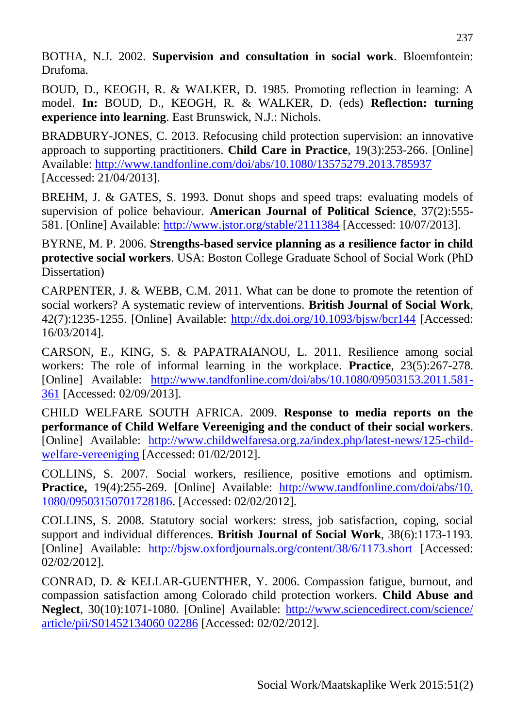BOUD, D., KEOGH, R. & WALKER, D. 1985. Promoting reflection in learning: A model. **In:** BOUD, D., KEOGH, R. & WALKER, D. (eds) **Reflection: turning experience into learning**. East Brunswick, N.J.: Nichols.

BRADBURY-JONES, C. 2013. Refocusing child protection supervision: an innovative approach to supporting practitioners. **Child Care in Practice**, 19(3):253-266. [Online] Available: <http://www.tandfonline.com/doi/abs/10.1080/13575279.2013.785937> [Accessed: 21/04/2013].

BREHM, J. & GATES, S. 1993. Donut shops and speed traps: evaluating models of supervision of police behaviour. **American Journal of Political Science**, 37(2):555- 581. [Online] Available:<http://www.jstor.org/stable/2111384> [Accessed: 10/07/2013].

BYRNE, M. P. 2006. **Strengths-based service planning as a resilience factor in child protective social workers**. USA: Boston College Graduate School of Social Work (PhD Dissertation)

CARPENTER, J. & WEBB, C.M. 2011. What can be done to promote the retention of social workers? A systematic review of interventions. **British Journal of Social Work**, 42(7):1235-1255. [Online] Available:<http://dx.doi.org/10.1093/bjsw/bcr144> [Accessed: 16/03/2014].

CARSON, E., KING, S. & PAPATRAIANOU, L. 2011. Resilience among social workers: The role of informal learning in the workplace. **Practice**, 23(5):267-278. [Online] Available: [http://www.tandfonline.com/doi/abs/10.1080/09503153.2011.581-](http://www.tandfonline.com/doi/abs/10.1080/09503153.2011.581-361) [361](http://www.tandfonline.com/doi/abs/10.1080/09503153.2011.581-361) [Accessed: 02/09/2013].

CHILD WELFARE SOUTH AFRICA. 2009. **Response to media reports on the performance of Child Welfare Vereeniging and the conduct of their social workers**. [Online] Available: [http://www.childwelfaresa.org.za/index.php/latest-news/125-child](http://www.childwelfaresa.org.za/index.php/latest-news/125-child-welfare-vereeniging)[welfare-vereeniging](http://www.childwelfaresa.org.za/index.php/latest-news/125-child-welfare-vereeniging) [Accessed: 01/02/2012].

COLLINS, S. 2007. Social workers, resilience, positive emotions and optimism. **Practice,** 19(4):255-269. [Online] Available: [http://www.tandfonline.com/doi/abs/10.](http://www.tandfonline.com/doi/abs/10.%201080/09503150701728186) [1080/09503150701728186.](http://www.tandfonline.com/doi/abs/10.%201080/09503150701728186) [Accessed: 02/02/2012].

COLLINS, S. 2008. Statutory social workers: stress, job satisfaction, coping, social support and individual differences. **British Journal of Social Work**, 38(6):1173-1193. [Online] Available: <http://bjsw.oxfordjournals.org/content/38/6/1173.short> [Accessed: 02/02/2012].

CONRAD, D. & KELLAR-GUENTHER, Y. 2006. Compassion fatigue, burnout, and compassion satisfaction among Colorado child protection workers. **Child Abuse and Neglect**, 30(10):1071-1080. [Online] Available: [http://www.sciencedirect.com/science/](http://www.sciencedirect.com/science/%20article/pii/S01452134060%2002286)  [article/pii/S01452134060 02286](http://www.sciencedirect.com/science/%20article/pii/S01452134060%2002286) [Accessed: 02/02/2012].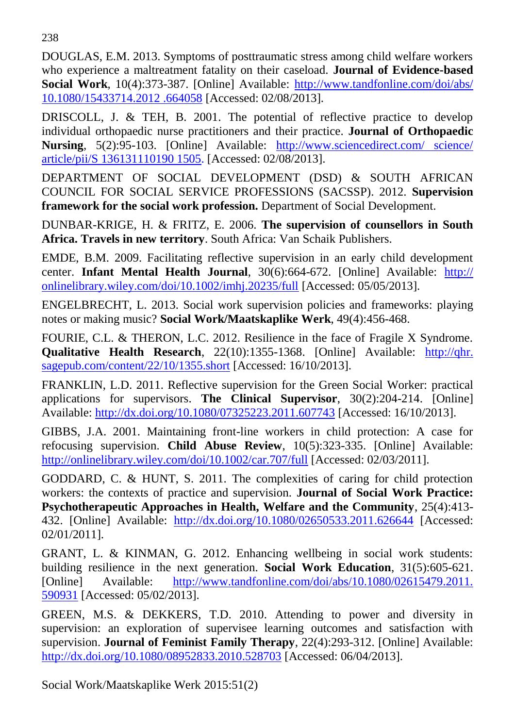238

DOUGLAS, E.M. 2013. Symptoms of posttraumatic stress among child welfare workers who experience a maltreatment fatality on their caseload. **Journal of Evidence-based Social Work**, 10(4):373-387. [Online] Available: [http://www.tandfonline.com/doi/abs/](http://www.tandfonline.com/doi/abs/%2010.1080/15433714.2012%20.664058)  [10.1080/15433714.2012 .664058](http://www.tandfonline.com/doi/abs/%2010.1080/15433714.2012%20.664058) [Accessed: 02/08/2013].

DRISCOLL, J. & TEH, B. 2001. The potential of reflective practice to develop individual orthopaedic nurse practitioners and their practice. **Journal of Orthopaedic Nursing**, 5(2):95-103. [Online] Available: [http://www.sciencedirect.com/ science/](http://www.sciencedirect.com/%20science/%20article/pii/S%20136131110190%201505)  [article/pii/S 136131110190 1505.](http://www.sciencedirect.com/%20science/%20article/pii/S%20136131110190%201505) [Accessed: 02/08/2013].

DEPARTMENT OF SOCIAL DEVELOPMENT (DSD) & SOUTH AFRICAN COUNCIL FOR SOCIAL SERVICE PROFESSIONS (SACSSP). 2012. **Supervision framework for the social work profession.** Department of Social Development.

DUNBAR-KRIGE, H. & FRITZ, E. 2006. **The supervision of counsellors in South Africa. Travels in new territory**. South Africa: Van Schaik Publishers.

EMDE, B.M. 2009. Facilitating reflective supervision in an early child development center. **Infant Mental Health Journal**, 30(6):664-672. [Online] Available: http:// onlinelibrary.wiley.com/doi/10.1002/imhj.20235/full [Accessed: 05/05/2013].

ENGELBRECHT, L. 2013. Social work supervision policies and frameworks: playing notes or making music? **Social Work/Maatskaplike Werk**, 49(4):456-468.

FOURIE, C.L. & THERON, L.C. 2012. Resilience in the face of Fragile X Syndrome. **Qualitative Health Research**, 22(10):1355-1368. [Online] Available: http://qhr. sagepub.com/content/22/10/1355.short [Accessed: 16/10/2013].

FRANKLIN, L.D. 2011. Reflective supervision for the Green Social Worker: practical applications for supervisors. **The Clinical Supervisor**, 30(2):204-214. [Online] Available:<http://dx.doi.org/10.1080/07325223.2011.607743> [Accessed: 16/10/2013].

GIBBS, J.A. 2001. Maintaining front-line workers in child protection: A case for refocusing supervision. **Child Abuse Review**, 10(5):323-335. [Online] Available: <http://onlinelibrary.wiley.com/doi/10.1002/car.707/full> [Accessed: 02/03/2011].

GODDARD, C. & HUNT, S. 2011. The complexities of caring for child protection workers: the contexts of practice and supervision. **Journal of Social Work Practice: Psychotherapeutic Approaches in Health, Welfare and the Community**, 25(4):413- 432. [Online] Available: <http://dx.doi.org/10.1080/02650533.2011.626644> [Accessed: 02/01/2011].

GRANT, L. & KINMAN, G. 2012. Enhancing wellbeing in social work students: building resilience in the next generation. **Social Work Education**, 31(5):605-621. [Online] Available: [http://www.tandfonline.com/doi/abs/10.1080/02615479.2011.](http://www.tandfonline.com/doi/abs/10.1080/02615479.2011.%20590931)  [590931](http://www.tandfonline.com/doi/abs/10.1080/02615479.2011.%20590931) [Accessed: 05/02/2013].

GREEN, M.S. & DEKKERS, T.D. 2010. Attending to power and diversity in supervision: an exploration of supervisee learning outcomes and satisfaction with supervision. **Journal of Feminist Family Therapy**, 22(4):293-312. [Online] Available: <http://dx.doi.org/10.1080/08952833.2010.528703> [Accessed: 06/04/2013].

Social Work/Maatskaplike Werk 2015:51(2)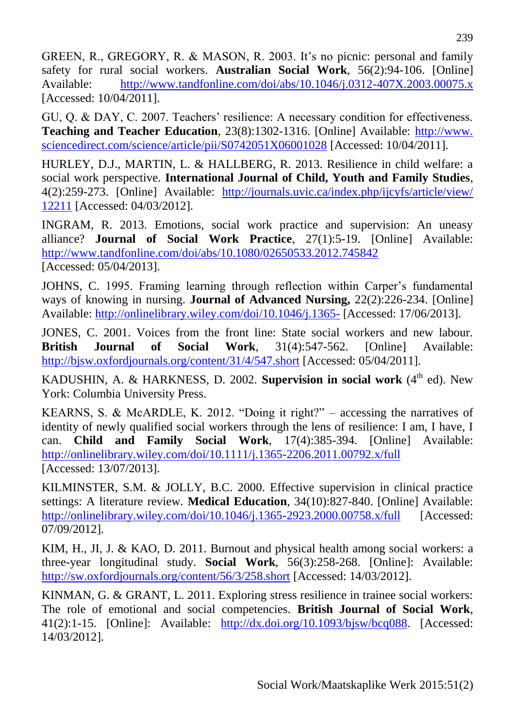GREEN, R., GREGORY, R. & MASON, R. 2003. It's no picnic: personal and family safety for rural social workers. **Australian Social Work**, 56(2):94-106. [Online] Available: <http://www.tandfonline.com/doi/abs/10.1046/j.0312-407X.2003.00075.x> [Accessed: 10/04/2011].

GU, Q. & DAY, C. 2007. Teachers' resilience: A necessary condition for effectiveness. **Teaching and Teacher Education**, 23(8):1302-1316. [Online] Available: http://www. sciencedirect.com/science/article/pii/S0742051X06001028 [Accessed: 10/04/2011].

HURLEY, D.J., MARTIN, L. & HALLBERG, R. 2013. Resilience in child welfare: a social work perspective. **International Journal of Child, Youth and Family Studies**, 4(2):259-273. [Online] Available: [http://journals.uvic.ca/index.php/ijcyfs/article/view/](http://journals.uvic.ca/index.php/ijcyfs/article/view/%2012211)  [12211](http://journals.uvic.ca/index.php/ijcyfs/article/view/%2012211) [Accessed: 04/03/2012].

INGRAM, R. 2013. Emotions, social work practice and supervision: An uneasy alliance? **Journal of Social Work Practice**, 27(1):5-19. [Online] Available: <http://www.tandfonline.com/doi/abs/10.1080/02650533.2012.745842> [Accessed: 05/04/2013].

JOHNS, C. 1995. Framing learning through reflection within Carper's fundamental ways of knowing in nursing. **Journal of Advanced Nursing,** 22(2):226-234. [Online] Available: http://onlinelibrary.wiley.com/doi/10.1046/j.1365- [Accessed: 17/06/2013].

JONES, C. 2001. Voices from the front line: State social workers and new labour. **British Journal of Social Work**, 31(4):547-562. [Online] Available: <http://bjsw.oxfordjournals.org/content/31/4/547.short> [Accessed: 05/04/2011].

KADUSHIN, A. & HARKNESS, D. 2002. **Supervision in social work** (4<sup>th</sup> ed). New York: Columbia University Press.

KEARNS, S. & McARDLE, K. 2012. "Doing it right?" – accessing the narratives of identity of newly qualified social workers through the lens of resilience: I am, I have, I can. **Child and Family Social Work**, 17(4):385-394. [Online] Available: <http://onlinelibrary.wiley.com/doi/10.1111/j.1365-2206.2011.00792.x/full> [Accessed: 13/07/2013].

KILMINSTER, S.M. & JOLLY, B.C. 2000. Effective supervision in clinical practice settings: A literature review. **Medical Education**, 34(10):827-840. [Online] Available: <http://onlinelibrary.wiley.com/doi/10.1046/j.1365-2923.2000.00758.x/full> [Accessed: 07/09/2012].

KIM, H., JI, J. & KAO, D. 2011. Burnout and physical health among social workers: a three-year longitudinal study. **Social Work**, 56(3):258-268. [Online]: Available: <http://sw.oxfordjournals.org/content/56/3/258.short> [Accessed: 14/03/2012].

KINMAN, G. & GRANT, L. 2011. Exploring stress resilience in trainee social workers: The role of emotional and social competencies. **British Journal of Social Work**, 41(2):1-15. [Online]: Available: [http://dx.doi.org/10.1093/bjsw/bcq088.](http://dx.doi.org/10.1093/bjsw/bcq088) [Accessed: 14/03/2012].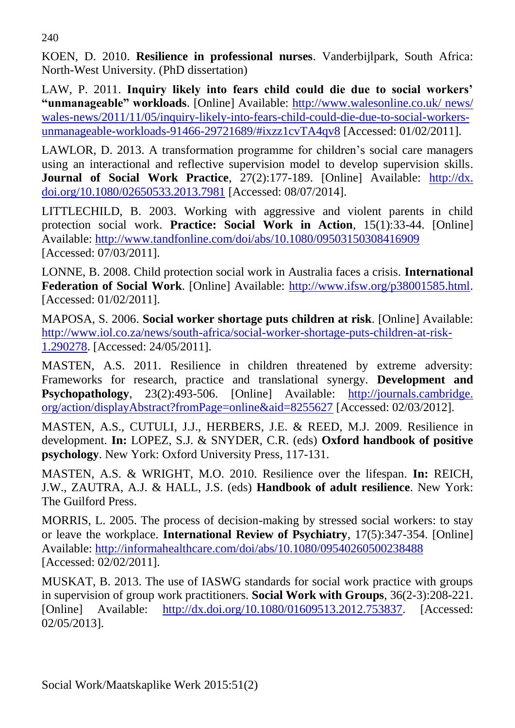240

KOEN, D. 2010. **Resilience in professional nurses**. Vanderbijlpark, South Africa: North-West University. (PhD dissertation)

LAW, P. 2011. **Inquiry likely into fears child could die due to social workers' "unmanageable" workloads**. [Online] Available: [http://www.walesonline.co.uk/ news/](http://www.walesonline.co.uk/%20news/%20wales-news/2011/11/05/inquiry-likely-into-fears-child-could-die-due-to-social-workers-unmanageable-workloads-91466-29721689/#ixzz1cvTA4qv8)  [wales-news/2011/11/05/inquiry-likely-into-fears-child-could-die-due-to-social-workers](http://www.walesonline.co.uk/%20news/%20wales-news/2011/11/05/inquiry-likely-into-fears-child-could-die-due-to-social-workers-unmanageable-workloads-91466-29721689/#ixzz1cvTA4qv8)[unmanageable-workloads-91466-29721689/#ixzz1cvTA4qv8](http://www.walesonline.co.uk/%20news/%20wales-news/2011/11/05/inquiry-likely-into-fears-child-could-die-due-to-social-workers-unmanageable-workloads-91466-29721689/#ixzz1cvTA4qv8) [Accessed: 01/02/2011].

LAWLOR, D. 2013. A transformation programme for children's social care managers using an interactional and reflective supervision model to develop supervision skills. **Journal of Social Work Practice**, 27(2):177-189. [Online] Available: http://dx. doi.org/10.1080/02650533.2013.7981 [Accessed: 08/07/2014].

LITTLECHILD, B. 2003. Working with aggressive and violent parents in child protection social work. **Practice: Social Work in Action**, 15(1):33-44. [Online] Available:<http://www.tandfonline.com/doi/abs/10.1080/09503150308416909> [Accessed: 07/03/2011].

LONNE, B. 2008. Child protection social work in Australia faces a crisis. **International Federation of Social Work**. [Online] Available: [http://www.ifsw.org/p38001585.html.](http://www.ifsw.org/p38001585.html) [Accessed: 01/02/2011].

MAPOSA, S. 2006. **Social worker shortage puts children at risk**. [Online] Available: [http://www.iol.co.za/news/south-africa/social-worker-shortage-puts-children-at-risk-](http://www.iol.co.za/news/south-africa/social-worker-shortage-puts-children-at-risk-1.290278)[1.290278.](http://www.iol.co.za/news/south-africa/social-worker-shortage-puts-children-at-risk-1.290278) [Accessed: 24/05/2011].

MASTEN, A.S. 2011. Resilience in children threatened by extreme adversity: Frameworks for research, practice and translational synergy. **Development and Psychopathology**, 23(2):493-506. [Online] Available: http://journals.cambridge. org/action/displayAbstract?fromPage=online&aid=8255627 [Accessed: 02/03/2012].

MASTEN, A.S., CUTULI, J.J., HERBERS, J.E. & REED, M.J. 2009. Resilience in development. **In:** LOPEZ, S.J. & SNYDER, C.R. (eds) **Oxford handbook of positive psychology**. New York: Oxford University Press, 117-131.

MASTEN, A.S. & WRIGHT, M.O. 2010. Resilience over the lifespan. **In:** REICH, J.W., ZAUTRA, A.J. & HALL, J.S. (eds) **Handbook of adult resilience**. New York: The Guilford Press.

MORRIS, L. 2005. The process of decision-making by stressed social workers: to stay or leave the workplace. **International Review of Psychiatry**, 17(5):347-354. [Online] Available:<http://informahealthcare.com/doi/abs/10.1080/09540260500238488> [Accessed: 02/02/2011].

MUSKAT, B. 2013. The use of IASWG standards for social work practice with groups in supervision of group work practitioners. **Social Work with Groups**, 36(2-3):208-221. [Online] Available: [http://dx.doi.org/10.1080/01609513.2012.753837.](http://dx.doi.org/10.1080/01609513.2012.753837) [Accessed: 02/05/2013].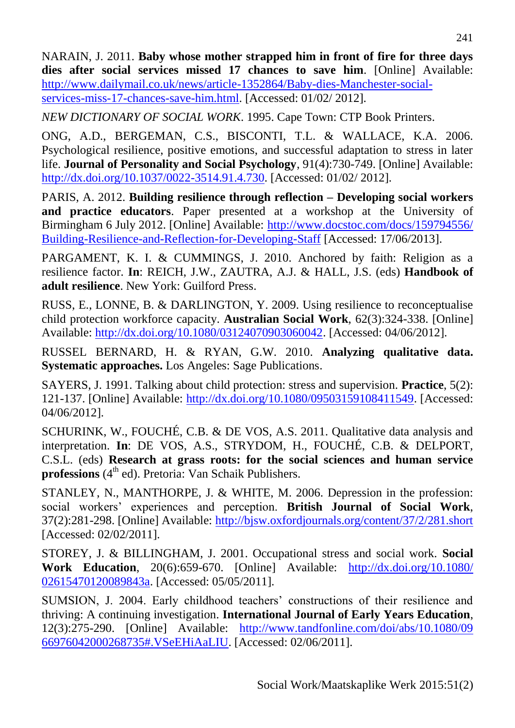NARAIN, J. 2011. **Baby whose mother strapped him in front of fire for three days dies after social services missed 17 chances to save him**. [Online] Available: [http://www.dailymail.co.uk/news/article-1352864/Baby-dies-Manchester-social](http://www.dailymail.co.uk/news/article-1352864/Baby-dies-Manchester-social-services-miss-17-chances-save-him.html)[services-miss-17-chances-save-him.html.](http://www.dailymail.co.uk/news/article-1352864/Baby-dies-Manchester-social-services-miss-17-chances-save-him.html) [Accessed: 01/02/ 2012].

*NEW DICTIONARY OF SOCIAL WORK*. 1995. Cape Town: CTP Book Printers.

ONG, A.D., BERGEMAN, C.S., BISCONTI, T.L. & WALLACE, K.A. 2006. Psychological resilience, positive emotions, and successful adaptation to stress in later life. **Journal of Personality and Social Psychology**, 91(4):730-749. [Online] Available: [http://dx.doi.org/10.1037/0022-3514.91.4.730.](http://dx.doi.org/10.1037/0022-3514.91.4.730) [Accessed: 01/02/ 2012].

PARIS, A. 2012. **Building resilience through reflection – Developing social workers and practice educators**. Paper presented at a workshop at the University of Birmingham 6 July 2012. [Online] Available: [http://www.docstoc.com/docs/159794556/](http://www.docstoc.com/docs/159794556/%20Building-Resilience-and-Reflection-for-Developing-Staff)  [Building-Resilience-and-Reflection-for-Developing-Staff](http://www.docstoc.com/docs/159794556/%20Building-Resilience-and-Reflection-for-Developing-Staff) [Accessed: 17/06/2013].

PARGAMENT, K. I. & CUMMINGS, J. 2010. Anchored by faith: Religion as a resilience factor. **In**: REICH, J.W., ZAUTRA, A.J. & HALL, J.S. (eds) **Handbook of adult resilience**. New York: Guilford Press.

RUSS, E., LONNE, B. & DARLINGTON, Y. 2009. Using resilience to reconceptualise child protection workforce capacity. **Australian Social Work**, 62(3):324-338. [Online] Available: [http://dx.doi.org/10.1080/03124070903060042.](http://dx.doi.org/10.1080/03124070903060042) [Accessed: 04/06/2012].

RUSSEL BERNARD, H. & RYAN, G.W. 2010. **Analyzing qualitative data. Systematic approaches.** Los Angeles: Sage Publications.

SAYERS, J. 1991. Talking about child protection: stress and supervision. **Practice**, 5(2): 121-137. [Online] Available: [http://dx.doi.org/10.1080/09503159108411549.](http://dx.doi.org/10.1080/09503159108411549) [Accessed: 04/06/2012].

SCHURINK, W., FOUCHÉ, C.B. & DE VOS, A.S. 2011. Qualitative data analysis and interpretation. **In**: DE VOS, A.S., STRYDOM, H., FOUCHÉ, C.B. & DELPORT, C.S.L. (eds) **Research at grass roots: for the social sciences and human service professions** (4<sup>th</sup> ed). Pretoria: Van Schaik Publishers.

STANLEY, N., MANTHORPE, J. & WHITE, M. 2006. Depression in the profession: social workers' experiences and perception. **British Journal of Social Work**, 37(2):281-298. [Online] Available:<http://bjsw.oxfordjournals.org/content/37/2/281.short> [Accessed: 02/02/2011].

STOREY, J. & BILLINGHAM, J. 2001. Occupational stress and social work. **Social Work Education**, 20(6):659-670. [Online] Available: [http://dx.doi.org/10.1080/](http://dx.doi.org/10.1080/%2002615470120089843a)  [02615470120089843a.](http://dx.doi.org/10.1080/%2002615470120089843a) [Accessed: 05/05/2011].

SUMSION, J. 2004. Early childhood teachers' constructions of their resilience and thriving: A continuing investigation. **International Journal of Early Years Education**, 12(3):275-290. [Online] Available: [http://www.tandfonline.com/doi/abs/10.1080/09](http://www.tandfonline.com/doi/abs/10.1080/09%2066976042000268735#.VSeEHiAaLIU)  [66976042000268735#.VSeEHiAaLIU.](http://www.tandfonline.com/doi/abs/10.1080/09%2066976042000268735#.VSeEHiAaLIU) [Accessed: 02/06/2011].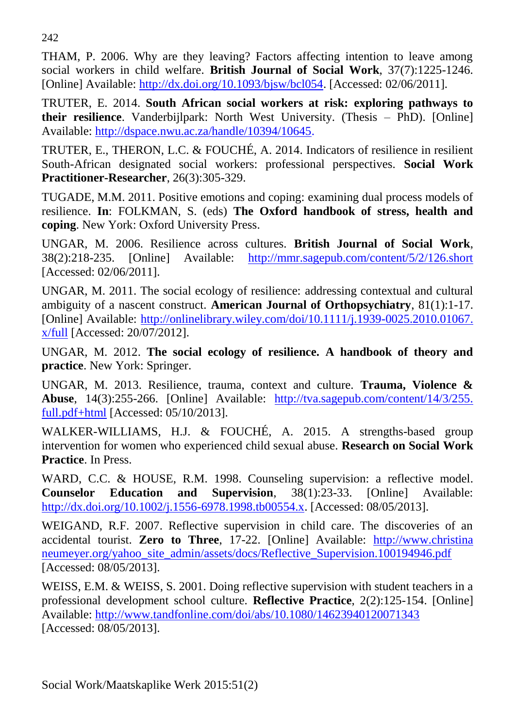242

THAM, P. 2006. Why are they leaving? Factors affecting intention to leave among social workers in child welfare. **British Journal of Social Work**, 37(7):1225-1246. [Online] Available: [http://dx.doi.org/10.1093/bjsw/bcl054.](http://dx.doi.org/10.1093/bjsw/bcl054) [Accessed: 02/06/2011].

TRUTER, E. 2014. **South African social workers at risk: exploring pathways to their resilience**. Vanderbijlpark: North West University. (Thesis – PhD). [Online] Available: [http://dspace.nwu.ac.za/handle/10394/10645.](http://dspace.nwu.ac.za/handle/10394/10645)

TRUTER, E., THERON, L.C. & FOUCHÉ, A. 2014. Indicators of resilience in resilient South-African designated social workers: professional perspectives. **Social Work Practitioner-Researcher**, 26(3):305-329.

TUGADE, M.M. 2011. Positive emotions and coping: examining dual process models of resilience. **In**: FOLKMAN, S. (eds) **The Oxford handbook of stress, health and coping**. New York: Oxford University Press.

UNGAR, M. 2006. Resilience across cultures. **British Journal of Social Work**, 38(2):218-235. [Online] Available: <http://mmr.sagepub.com/content/5/2/126.short> [Accessed: 02/06/2011].

UNGAR, M. 2011. The social ecology of resilience: addressing contextual and cultural ambiguity of a nascent construct. **American Journal of Orthopsychiatry**, 81(1):1-17. [Online] Available: [http://onlinelibrary.wiley.com/doi/10.1111/j.1939-0025.2010.01067.](http://onlinelibrary.wiley.com/doi/10.1111/j.1939-0025.2010.01067.%20x/full)  [x/full](http://onlinelibrary.wiley.com/doi/10.1111/j.1939-0025.2010.01067.%20x/full) [Accessed: 20/07/2012].

UNGAR, M. 2012. **The social ecology of resilience. A handbook of theory and practice**. New York: Springer.

UNGAR, M. 2013. Resilience, trauma, context and culture. **Trauma, Violence & Abuse**, 14(3):255-266. [Online] Available: [http://tva.sagepub.com/content/14/3/255.](http://tva.sagepub.com/content/14/3/255.%20full.pdf+html)  [full.pdf+html](http://tva.sagepub.com/content/14/3/255.%20full.pdf+html) [Accessed: 05/10/2013].

WALKER-WILLIAMS, H.J. & FOUCHÉ, A. 2015. A strengths-based group intervention for women who experienced child sexual abuse. **Research on Social Work Practice**. In Press.

WARD, C.C. & HOUSE, R.M. 1998. Counseling supervision: a reflective model. **Counselor Education and Supervision**, 38(1):23-33. [Online] Available: [http://dx.doi.org/10.1002/j.1556-6978.1998.tb00554.x.](http://dx.doi.org/10.1002/j.1556-6978.1998.tb00554.x) [Accessed: 08/05/2013].

WEIGAND, R.F. 2007. Reflective supervision in child care. The discoveries of an accidental tourist. **Zero to Three**, 17-22. [Online] Available: http://www.christina neumeyer.org/yahoo\_site\_admin/assets/docs/Reflective\_Supervision.100194946.pdf [Accessed: 08/05/2013].

WEISS, E.M. & WEISS, S. 2001. Doing reflective supervision with student teachers in a professional development school culture. **Reflective Practice**, 2(2):125-154. [Online] Available:<http://www.tandfonline.com/doi/abs/10.1080/14623940120071343> [Accessed: 08/05/2013].